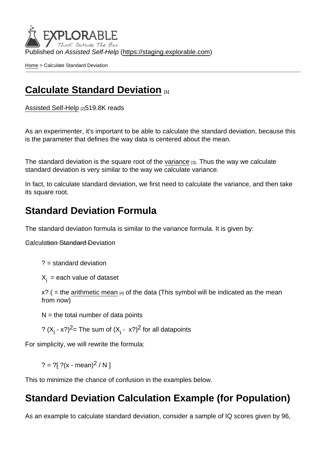Published on Assisted Self-Help [\(https://staging.explorable.com](https://staging.explorable.com))

[Home](https://staging.explorable.com/en) > Calculate Standard Deviation

## [Calculate Standard Deviation](https://staging.explorable.com/en/calculate-standard-deviation) [1]

[Assisted Self-Help](https://staging.explorable.com/en) [2]519.8K reads

As an experimenter, it's important to be able to calculate the standard deviation, because this is the parameter that defines the way data is centered about the mean.

The standard deviation is the square root of the [variance](https://staging.explorable.com/statistical-variance) [3]. Thus the way we calculate standard deviation is very similar to the way we calculate variance.

In fact, to calculate standard deviation, we first need to calculate the variance, and then take its square root.

## Standard Deviation Formula

The standard deviation formula is similar to the variance formula. It is given by:

**Calculation Standard Deviation** 

 $? =$  standard deviation

 $X_i$  = each value of dataset

 $x$ ? ( = the [arithmetic mean](https://staging.explorable.com/arithmetic-mean) [4] of the data (This symbol will be indicated as the mean from now)

 $N =$  the total number of data points

?  $(X_i - x?)^2$  The sum of  $(X_i - x?)^2$  for all datapoints

For simplicity, we will rewrite the formula:

 $? = ?[ ?(x - mean)^2 / N ]$ 

This to minimize the chance of confusion in the examples below.

### Standard Deviation Calculation Example (for Population)

As an example to calculate standard deviation, consider a sample of IQ scores given by 96,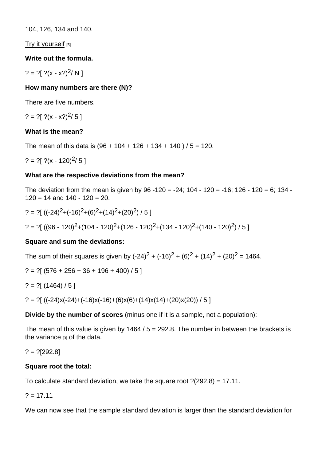104, 126, 134 and 140.

[Try it yourself](https://explorable.com/survey/calculate-standard-deviation) [5]

Write out the formula.

? = ? $[ ?(x - x?)^2/N ]$ 

How many numbers are there (N)?

There are five numbers.

? = ? $( x - x^2 )^2 / 5 1$ 

What is the mean?

The mean of this data is  $(96 + 104 + 126 + 134 + 140) / 5 = 120$ .

? = ? $[ ?(x - 120)^2 / 5 ]$ 

What are the respective deviations from the mean?

The deviation from the mean is given by  $96 -120 = -24$ ;  $104 - 120 = -16$ ;  $126 - 120 = 6$ ;  $134 120 = 14$  and  $140 - 120 = 20$ .

? = ?[ ((-24)2+(-16)2+(6)2+(14)2+(20)2) / 5 ] ? = ?[ ((96 - 120)2+(104 - 120)2+(126 - 120)2+(134 - 120)2+(140 - 120)2) / 5 ]

Square and sum the deviations:

The sum of their squares is given by  $(-24)^2 + (-16)^2 + (6)^2 + (14)^2 + (20)^2 = 1464$ .

 $? = ?$ [ (576 + 256 + 36 + 196 + 400) / 5 ]

$$
? = ?[(1464)/5]
$$

? = ? $[((-24)x(-24)+(-16)x(-16)+(6)x(6)+(14)x(14)+(20)x(20))/5]$ 

Divide by the number of scores (minus one if it is a sample, not a population):

The mean of this value is given by  $1464 / 5 = 292.8$ . The number in between the brackets is the [variance](https://staging.explorable.com/statistical-variance)  $[3]$  of the data.

 $? = ?[292.8]$ 

Square root the total:

To calculate standard deviation, we take the square root ?(292.8) = 17.11.

 $? = 17.11$ 

We can now see that the sample standard deviation is larger than the standard deviation for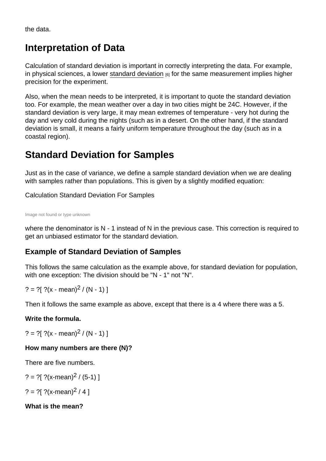the data.

# Interpretation of Data

Calculation of standard deviation is important in correctly interpreting the data. For example, in physical sciences, a lower [standard deviation](https://staging.explorable.com/measurement-of-uncertainty-standard-deviation)  $_{[6]}$  for the same measurement implies higher precision for the experiment.

Also, when the mean needs to be interpreted, it is important to quote the standard deviation too. For example, the mean weather over a day in two cities might be 24C. However, if the standard deviation is very large, it may mean extremes of temperature - very hot during the day and very cold during the nights (such as in a desert. On the other hand, if the standard deviation is small, it means a fairly uniform temperature throughout the day (such as in a coastal region).

## Standard Deviation for Samples

Just as in the case of variance, we define a sample standard deviation when we are dealing with samples rather than populations. This is given by a slightly modified equation:

Calculation Standard Deviation For Samples

Image not found or type unknown

where the denominator is N - 1 instead of N in the previous case. This correction is required to get an unbiased estimator for the standard deviation.

#### Example of Standard Deviation of Samples

This follows the same calculation as the example above, for standard deviation for population, with one exception: The division should be "N - 1" not "N".

? = ?[ ?(x - mean)<sup>2</sup> / (N - 1) ]

Then it follows the same example as above, except that there is a 4 where there was a 5.

Write the formula.

? = ? $($  ? $(x - mean)^2 / (N - 1)$  ]

How many numbers are there (N)?

There are five numbers.

? = ?[ ?(x-mean)<sup>2</sup> / (5-1) ]

? = ?[ ?(x-mean)<sup>2</sup> / 4 ]

What is the mean?